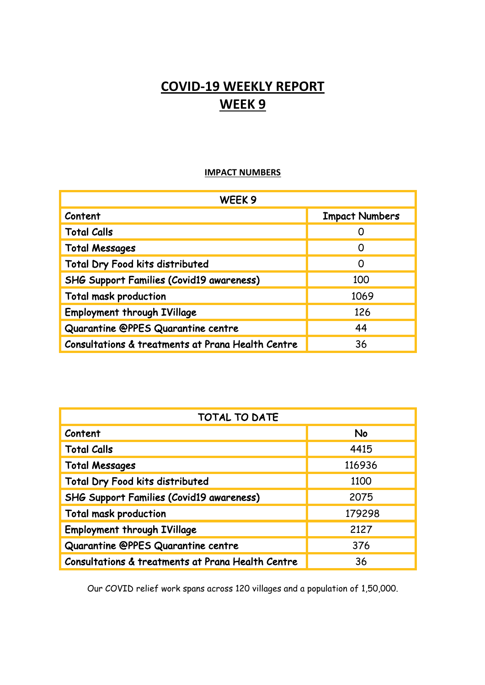# **COVID-19 WEEKLY REPORT WEEK 9**

### **IMPACT NUMBERS**

| WEEK <sub>9</sub>                                 |                       |
|---------------------------------------------------|-----------------------|
| Content                                           | <b>Impact Numbers</b> |
| <b>Total Calls</b>                                |                       |
| <b>Total Messages</b>                             | $\left( \right)$      |
| Total Dry Food kits distributed                   | O                     |
| <b>SHG Support Families (Covid19 awareness)</b>   | 100                   |
| <b>Total mask production</b>                      | 1069                  |
| <b>Employment through IVillage</b>                | 126                   |
| Quarantine @PPES Quarantine centre                | 44                    |
| Consultations & treatments at Prana Health Centre | 36                    |

| <b>TOTAL TO DATE</b>                              |           |
|---------------------------------------------------|-----------|
| Content                                           | <b>No</b> |
| <b>Total Calls</b>                                | 4415      |
| <b>Total Messages</b>                             | 116936    |
| <b>Total Dry Food kits distributed</b>            | 1100      |
| <b>SHG Support Families (Covid19 awareness)</b>   | 2075      |
| <b>Total mask production</b>                      | 179298    |
| <b>Employment through IVillage</b>                | 2127      |
| Quarantine @PPES Quarantine centre                | 376       |
| Consultations & treatments at Prana Health Centre | 36        |

Our COVID relief work spans across 120 villages and a population of 1,50,000.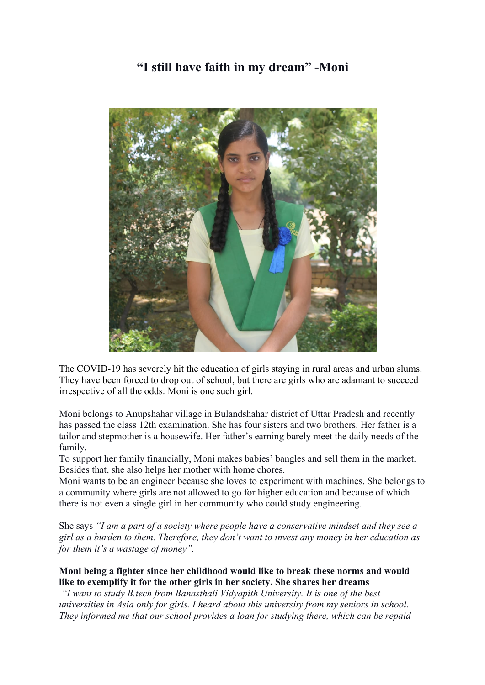## **"I still have faith in my dream" -Moni**



The COVID-19 has severely hit the education of girls staying in rural areas and urban slums. They have been forced to drop out of school, but there are girls who are adamant to succeed irrespective of all the odds. Moni is one such girl.

Moni belongs to Anupshahar village in Bulandshahar district of Uttar Pradesh and recently has passed the class 12th examination. She has four sisters and two brothers. Her father is a tailor and stepmother is a housewife. Her father's earning barely meet the daily needs of the family.

To support her family financially, Moni makes babies' bangles and sell them in the market. Besides that, she also helps her mother with home chores.

Moni wants to be an engineer because she loves to experiment with machines. She belongs to a community where girls are not allowed to go for higher education and because of which there is not even a single girl in her community who could study engineering.

She says *"I am a part of a society where people have a conservative mindset and they see a girl as a burden to them. Therefore, they don't want to invest any money in her education as for them it's a wastage of money".*

### **Moni being a fighter since her childhood would like to break these norms and would like to exemplify it for the other girls in her society. She shares her dreams**

*"I want to study B.tech from Banasthali Vidyapith University. It is one of the best universities in Asia only for girls. I heard about this university from my seniors in school. They informed me that our school provides a loan for studying there, which can be repaid*